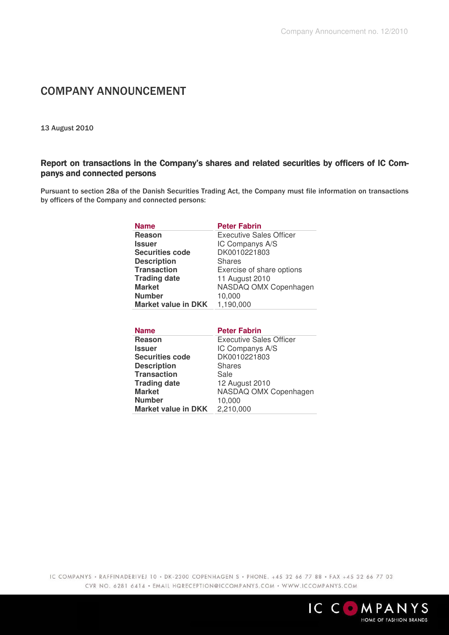## COMPANY ANNOUNCEMENT

13 August 2010

## Report on transactions in the Company's shares and related securities by officers of IC Companys and connected persons

Pursuant to section 28a of the Danish Securities Trading Act, the Company must file information on transactions by officers of the Company and connected persons:

| <b>Name</b>                | <b>Peter Fabrin</b>            |
|----------------------------|--------------------------------|
| Reason                     | <b>Executive Sales Officer</b> |
| Issuer                     | IC Companys A/S                |
| <b>Securities code</b>     | DK0010221803                   |
| <b>Description</b>         | <b>Shares</b>                  |
| <b>Transaction</b>         | Exercise of share options      |
| <b>Trading date</b>        | 11 August 2010                 |
| <b>Market</b>              | NASDAQ OMX Copenhagen          |
| <b>Number</b>              | 10,000                         |
| <b>Market value in DKK</b> | 1,190,000                      |

| <b>Name</b>            | <b>Peter Fabrin</b>            |
|------------------------|--------------------------------|
| Reason                 | <b>Executive Sales Officer</b> |
| Issuer                 | IC Companys A/S                |
| <b>Securities code</b> | DK0010221803                   |
| <b>Description</b>     | <b>Shares</b>                  |
| <b>Transaction</b>     | Sale                           |
| <b>Trading date</b>    | 12 August 2010                 |
| <b>Market</b>          | NASDAQ OMX Copenhagen          |
| <b>Number</b>          | 10,000                         |
| Market value in DKK    | 2,210,000                      |